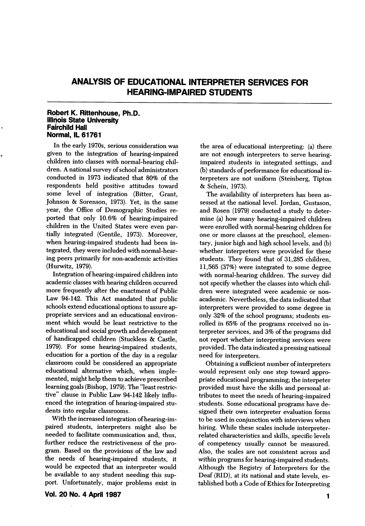# ANALYSIS OF EDUCATIONAL INTERPRETER SERVICES FOR HEARING-IMPAIRED STUDENTS

#### Robert K. Rittenhouse, Ph.D. Illihois State University Fairchild Hall Normal, IL 61761

In the early 1970s, serious consideration was given to the integration of hearing-impaired children into classes with normal-hearing chil dren. A national survey of school administrators conducted in 1973 indicated that 80% of the respondents held positive attitudes toward some level of integration (Bitter, Grant, Johnson & Sorenson, 1973). Yet, in the same year, the Office of Demographic Studies re ported that only 10.6% of hearing-impaired children in the United States were even par tially integrated (Gentile, 1973). Moreover, when hearing-impaired students had been in tegrated, they were included with normal-hear ing peers primarily for non-academic activities (Hurwitz, 1979).

Integration of hearing-impaired children into academic classes with hearing children occurred more frequently after the enactment of Public Law 94-142. This Act mandated that public schools extend educational options to assure ap propriate services and an educational environ ment which would be least restrictive to the educational and social growth and development of handicapped children (Stuckless & Gastle, 1979). For some hearing-impaired students, education for a portion of the day in a regular classroom could be considered an appropriate educational alternative which, when imple mented, might help them to achieve prescribed learning goals (Bishop, 1979). The "least restric tive" clause in Public Law 94-142 likely influ enced the integration of hearing-impaired stu dents into regular classrooms.

With the increased integration of hearing-im paired students, interpreters might also be needed to facilitate communication and, thus, further reduce the restrictiveness of the pro gram. Based on the provisions of the law and the needs of hearing-impaired students, it would be expected that an interpreter would be available to any student needing this sup port. Unfortunately, major problems exist in

Vol. 20 No. 4 April 1987

the area of educational interpreting: (a) there are not enough interpreters to serve hearingimpaired students in integrated settings, and (b) standards of performance for educational in terpreters are not uniform (Steinberg, Tipton & Schein, 1973).

The availability of interpreters has been as sessed at the national level. Jordan, Gustason, and Rosen (1979) conducted a study to deter mine (a) how many hearing-impaired children were enrolled with normal-hearing children for one or more classes at the preschool, elemen tary, junior high and high school levels, and (b) whether interpreters were provided for these students. They found that of 31,285 children, 11,565 (37%) were integrated to some degree with normal-hearing children. The survey did not specify whether the classes into which chil dren were integrated were academic or nonacademic. Nevertheless, the data indicated that interpreters were provided to some degree in only 32% of the school programs; students en rolled in 65% of the programs received no in terpreter services, and 3% of the programs did not report whether interpreting services were provided. The data indicated a pressing national need for interpreters.

Obtaining a sufficient number of interpreters would represent only one step toward appro priate educational programming; the interpeter provided must have the skills and personal at tributes to meet the needs of hearing-impaired students. Some educational programs have de signed their own interpreter evaluation forms to be used in conjunction with interviews when hiring. While these scales include interpreterrelated characteristics and skills, specific levels of competency usually cannot be measured. Also, the scales are not consistent across and within programs for hearing-impaired students. Although the Registry of Interpreters for the Deaf (RID), at its national and state levels, es tablished both a Gode of Ethics for Interpreting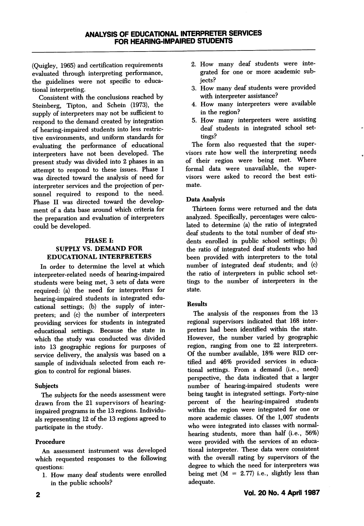(Quigley, 1965) and certification requirements evaluated through interpreting performance, the guidelines were not specific to educa tional interpreting.

Consistent with the conclusions reached by Steinberg, Tipton, and Schein (1973), the supply of interpreters may not be sufficient to respond to the demand created by integration of hearing-impaired students into less restric tive environments, and uniform standards for evaluating the performance of educational interpreters have not been developed. The present study was divided into 2 phases in an attempt to respond to these issues. Phase 1 was directed toward the analysis of need for interpreter services and the projection of per sonnel required to respond to the need. Phase II was directed toward the develop ment of a data base around which criteria for the preparation and evaluation of interpreters could be developed.

## PHASE I; SUPPLY VS. DEMAND FOR EDUCATIONAL INTERPRETERS

In order to determine the level at which interpreter-related needs of hearing-impaired students were being met, 3 sets of data were required: (a) the need for interpreters for hearing-impaired students in integrated edu cational settings; (b) the supply of inter preters; and (c) the number of interpreters providing services for students in integrated educational settings. Because the state in which the study was conducted was divided into 13 geographic regions for purposes of service delivery, the analysis was based on a sample of individuals selected from each re gion to control for regional biases.

## **Subjects**

The subjects for the needs assessment were drawn from the 21 supervisors of hearingimpaired programs in the 13 regions. Individu als representing 12 of the 13 regions agreed to participate in the study.

## Procedure

An assessment instrument was developed which requested responses to the following questions:

I. How many deaf students were enrolled in the public schools?

- 2. How many deaf students were inte grated for one or more academic sub jects?
- 3. How many deaf students were provided with interpreter assistance?
- 4. How many interpreters were available in the region?
- 5. How many interpreters were assisting deaf students in integrated school set tings?

The form also requested that the super visors rate how well the interpreting needs of their region were being met. Where formal data were unavailable, the super visors were asked to record the best esti mate.

# Data Analysis

Thirteen forms were returned and the data analyzed. Specifically, percentages were calcu lated to determine (a) the ratio of integrated deaf students to the total number of deaf stu dents enrolled in public school settings; (b) the ratio of integrated deaf students who had been provided with interpreters to the total number of integrated deaf students; and (c) the ratio of interpreters in public school set tings to the number of interpreters in the state.

## Results

The analysis of the responses from the 13 regional supervisors indicated that 168 inter preters had been identified within the state. However, the number varied by geographic region, ranging from one to 22 interpreters. Of the number available, 18% were RID cer tified and 46% provided services in educa tional settings. From a demand (i.e., need) perspective, the data indicated that a larger number of hearing-impaired students were being taught in integrated settings. Forty-nine percent of the hearing-impaired students within the region were integrated for one or more academic classes. Of the 1,007 students who were integrated into classes with normalhearing students, more than half (i.e., 56%) were provided with the services of an educa tional interpreter. These data were consistent with the overall rating by supervisors of the degree to which the need for interpreters was being met  $(M = 2.77)$  i.e., slightly less than adequate.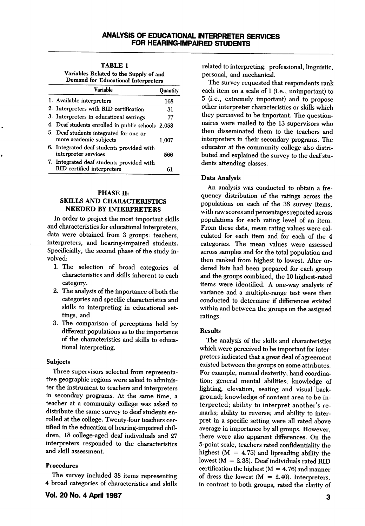TABLE 1 Variables Related to the Supply of and

| Demand for Educational Interpreters                                     |          |  |  |  |  |
|-------------------------------------------------------------------------|----------|--|--|--|--|
| <b>Variable</b>                                                         | Ouantitv |  |  |  |  |
| 1. Available interpreters                                               | 168      |  |  |  |  |
| 2. Interpreters with RID certification                                  | 31       |  |  |  |  |
| 3. Interpreters in educational settings                                 | 77       |  |  |  |  |
| 4. Deaf students enrolled in public schools 2,058                       |          |  |  |  |  |
| 5. Deaf students integrated for one or<br>more academic subjects        | 1.007    |  |  |  |  |
| 6. Integrated deaf students provided with<br>interpreter services       | 566      |  |  |  |  |
| 7. Integrated deaf students provided with<br>RID certified interpreters | 61       |  |  |  |  |

#### PHASE H: SKILLS AND CHARACTERISTICS NEEDED BY INTERPRETERS

In order to project the most important skills and characteristics for educational interpreters, data were obtained from 3 groups: teachers, interpreters, and hearing-impaired students. Specificially, the second phase of the study in volved:

- 1. The selection of hroad categories of characteristics and skills inherent to each category.
- 2. The analysis of the importance of both the categories and specific characteristics and skills to interpreting in educational set tings, and
- 3. The comparison of perceptions held by different populations as to the importance of the characteristics and skills to educa tional interpreting.

#### Subjects

Three supervisors selected from representa tive geographic regions were asked to adminis ter the instrument to teachers and interpreters in secondary programs. At the same time, a teacher at a community college was asked to distribute the same survey to deaf students en rolled at the college. Twenty-four teachers cer tified in the education of hearing-impaired chil dren, 18 college-aged deaf individuals and 27 interpreters responded to the characteristics and skill assessment.

#### Procedures

The survey included 38 items representing 4 broad categories of characteristics and skills related to interpreting: professional, linguistic, personal, and mechanical.

The survey requested that respondents rank each item on a scale of 1 (i.e., unimportant) to 5 (i.e., extremely important) and to propose other interpreter characteristics or skills which they perceived to be important. The question naires were mailed to the 13 supervisors who then disseminated them to the teachers and interpreters in their secondary programs. The educator at the community college also distri buted and explained the survey to the deaf stu dents attending classes.

## Data Analysis

An analysis was conducted to obtain a fre quency distribution of the ratings across the populations on each of the 38 survey items, with raw scores and percentages reported across populations for each rating level of an item. From these data, mean rating values were cal culated for each item and for each of the 4 categories. The mean values were assessed across samples and for the total population and then ranked from highest to lowest. After or dered lists had been prepared for each group and the groups combined, the 10 highest-rated items were identified. A one-way analysis of variance and a multiple-range test were then conducted to determine if differences existed within and between the groups on the assigned ratings.

#### Results

The analysis of the skills and characteristics which were perceived to be important for inter preters indicated that a great deal of agreement existed between the groups on some attributes. For example, manual dexterity; hand coordina tion; general mental abilities; knowledge of lighting, elevation, seating and visual back ground; knowledge of content area to be in terpreted; ability to interpret another's re marks; ability to reverse; and ability to inter pret in a specific setting were all rated above average in importance by all groups. However, there were also apparent differences. On the 5-point scale, teachers rated confidentiality the highest  $(M = 4.75)$  and lipreading ability the lowest ( $M = 2.38$ ). Deaf individuals rated RID certification the highest  $(M = 4.76)$  and manner of dress the lowest  $(M = 2.40)$ . Interpreters, in contrast to both groups, rated the clarity of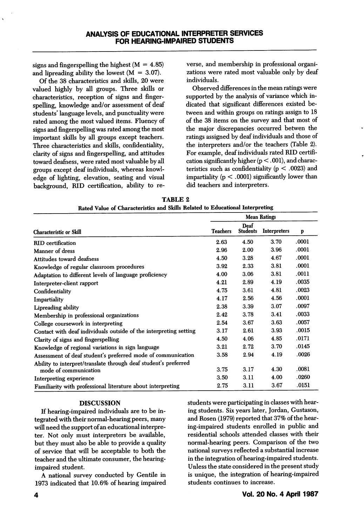signs and fingerspelling the highest  $(M = 4.85)$ and lipreading ability the lowest  $(M = 3.07)$ .

Of the 38 characteristics and skills, 20 were valued highly by all groups. Three skills or characteristics, reception of signs and fingerspelling, knowledge and/or assessment of deaf students' language levels, and punctuality were rated among the most valued items. Fluency of signs and fingerspelling was rated among the most important skills by all groups except teachers. Three characteristics and skills, confidentiality, clarity of signs and fingerspelling, and attitudes toward deafness, were rated most valuable by all groups except deaf individuals, whereas knowl edge of lighting, elevation, seating and visual background, RID certification, ability to re verse, and membership in professional organi zations were rated most valuable only by deaf individuals.

Observed differences in the mean ratings were supported by the analysis of variance which in dicated that significant differences existed be tween and within groups on ratings assign to 18 of the 38 items on the survey and that most of the major discrepancies occurred betwen the ratings assigned by deaf individuals and those of the interpreters and/or the teachers (Table 2). For example, deaf individuals rated RID certifi cation significantly higher  $(p < .001)$ , and characteristics such as confidentiality ( $p < .0023$ ) and impartiality  $(p < .0001)$  significantly lower than did teachers and interpreters.

| <b>TABLE 2</b>                                                                |  |  |  |  |  |  |
|-------------------------------------------------------------------------------|--|--|--|--|--|--|
| Rated Value of Characteristics and Skills Related to Educational Interpreting |  |  |  |  |  |  |

|                                                                   | <b>Mean Ratings</b> |                         |                     |       |
|-------------------------------------------------------------------|---------------------|-------------------------|---------------------|-------|
| <b>Characteristic or Skill</b>                                    | <b>Teachers</b>     | Deaf<br><b>Students</b> | <b>Interpreters</b> | p     |
| <b>RID</b> certification                                          | 2.63                | 4.50                    | 3.70                | .0001 |
| Manner of dress                                                   | 2.96                | 2.00                    | 3.96                | .0001 |
| Attitudes toward deafness                                         | 4.50                | 3.28                    | 4.67                | .0001 |
| Knowledge of regular classroom procedures                         | 3.92                | 2.33                    | 3.81                | .0001 |
| Adaptation to different levels of language proficiency            | 4.00                | 3.06                    | 3.81                | .0011 |
| Interpreter-client rapport                                        | 4.21                | 2.89                    | 4.19                | .0035 |
| Confidentiality                                                   | 4.75                | 3.61                    | 4.81                | .0023 |
| Impartiality                                                      | 4.17                | 2.56                    | 4.56                | .0001 |
| Lipreading ability                                                | 2.38                | 3.39                    | 3.07                | .0097 |
| Membership in professional organizations                          | 2.42                | 3.78                    | 3.41                | .0033 |
| College coursework in interpreting                                | 2.54                | 3.67                    | 3.63                | .0057 |
| Contact with deaf individuals outside of the interpreting setting | 3.17                | 2.61                    | 3.93                | .0015 |
| Clarity of signs and fingerspelling                               | 4.50                | 4.06                    | 4.85                | .0171 |
| Knowledge of regional variations in sign language                 | 3.21                | 2.72                    | 3.70                | .0145 |
| Assessment of deaf student's preferred mode of communication      | 3.58                | 2.94                    | 4.19                | .0026 |
| Ability to interpret/translate through deaf student's preferred   |                     |                         |                     |       |
| mode of communication                                             | 3.75                | 3.17                    | 4.30                | .0081 |
| Interpreting experience                                           | 3.50                | 3.11                    | 4.00                | .0260 |
| Familiarity with professional literature about interpreting       | 2.75                | 3.11                    | 3.67                | .0151 |

#### DISCUSSION

If hearing-impaired individuals are to be in tegrated with their normal-hearing peers, many will need the support of an educational interpre ter. Not only must interpreters be available, but they must also be able to provide a quality of service that will be acceptable to both the teacher and the ultimate consumer, the hearingimpaired student.

A national survey conducted by Gentile in 1973 indicated that 10.6% of hearing impaired students were participating in classes with hear ing students. Six years later, Jordan, Gustason, and Rosen (1979) reported that 37% of the hear ing-impaired students enrolled in public and residential schools attended classes with their normal-hearing peers. Gomparison of the two national surveys reflected a substantial increase in the integration of hearing-impaired students. Unless the state considered in the present study is unique, the integration of hearing-impaired students continues to increase.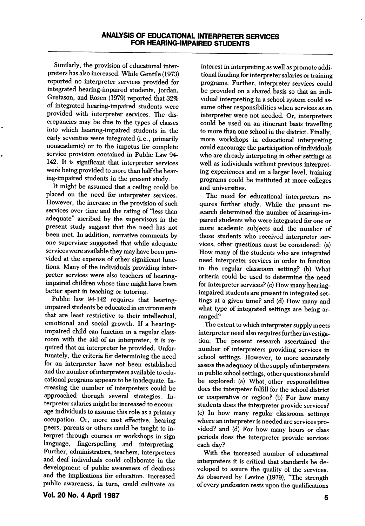Similarly, the provision of educational inter preters has also increased. While Gentile (1973) reported no interpreter services provided for integrated hearing-impaired students, Jordan, Gustason, and Rosen (1979) reported that 32% of integrated hearing-impaired students were provided with interpreter services. The dis crepancies may be due to the types of classes into which hearing-impaired students in the early seventies were integrated (i.e., primarily nonacademic) or to the impetus for complete service provision contained in Public Law 94- 142. It is significant that interpreter services were being provided to more than half the hearing-impaired students in the present study.

It might be assumed that a ceiling could be placed on the need for interpreter services. However, the increase in the provision of such services over time and the rating of "less than adequate" ascribed by the supervisors in the present study suggest that the need has not been met. In addition, narrative comments by one supervisor suggested that while adequate services were available they may have been pro vided at the expense of other significant func tions. Many of the individuals providing inter preter services were also teachers of hearingimpaired children whose time might have been better spent in teaching or tutoring.

Public law 94-142 requires that hearingimpaired students be educated in environments that are least restrictive to their intellectual, emotional and social growth. If a hearingimpaired child can function in a regular class room with the aid of an interpreter, it is re quired that an interpreter be provided. Unfor tunately, the criteria for determining the need for an interpreter have not been established and the number of interpreters available to edu cational programs appears to be inadequate. In creasing the number of interpreters could be approached thorugh several strategies. In terpreter salaries might be increased to encour age individuals to assume this role as a primary occupation. Or, more cost effective, hearing peers, parents or others could be taught to in terpret through courses or workshops in sign language, fingerspelling and interpreting. Further, administrators, teachers, interpreters and deaf individuals could collaborate in the development of public awareness of deafness and the implications for education. Increased public awareness, in turn, could cultivate an

interest in interpreting as well as promote addi tional funding for interpreter salaries or training programs. Further, interpreter services could be provided on a shared basis so that an indi vidual interpreting in a school system could as sume other responsibilities when services as an interpreter were not needed. Or, interpreters could be used on an itinerant basis travelling to more than one school in the district. Finally, more workshops in educational interpreting could encourage the participation of individuals who are already interpeting in other settings as well as individuals without previous interpret ing experiences and on a larger level, training programs could be instituted at more colleges and universities.

The need for educational interpreters re quires further study. While the present re search determined the number of hearing-im paired students who were integrated for one or more academic subjects and the number of those students who received interpreter ser vices, other questions must be considered: (a) How many of the students who are integrated need interpreter services in order to function in the regular classroom setting? (b) What criteria could be used to determine the need for interpreter services? (c) How many hearingimpaired students are present in integrated set tings at a given time? and (d) How many and what type of integrated settings are being ar ranged?

The extent to which interpreter supply meets interpreter need also requires further investiga tion. The present research ascertained the number of interpreters providing services in school settings. However, to more accurately assess the adequacy of the supply of interpreters in public school settings, other questions should be explored: (a) What other responsibilities does the interpeter fulfill for the school district or cooperative or region? (b) For how many students does the interpreter provide services? (c) In how many regular classroom settings where an interpreter is needed are services pro vided? and (d) For how many hours or class periods does the interpreter provide services each day?

With the increased number of educational interpreters it is critical that standards be de veloped to assure the quality of the services. As observed by Levine (1979), "The strength of every profession rests upon the qualifications